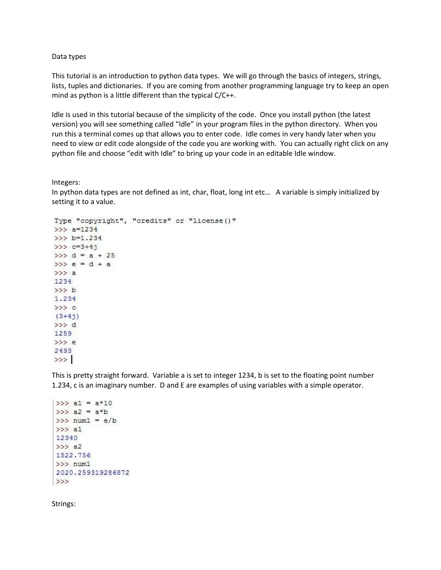## Data types

This tutorial is an introduction to python data types. We will go through the basics of integers, strings, lists, tuples and dictionaries. If you are coming from another programming language try to keep an open mind as python is a little different than the typical C/C++.

Idle is used in this tutorial because of the simplicity of the code. Once you install python (the latest version) you will see something called "Idle" in your program files in the python directory. When you run this a terminal comes up that allows you to enter code. Idle comes in very handy later when you need to view or edit code alongside of the code you are working with. You can actually right click on any python file and choose "edit with Idle" to bring up your code in an editable Idle window.

Integers:

In python data types are not defined as int, char, float, long int etc… A variable is simply initialized by setting it to a value.

```
Type "copyright", "credits" or "license ()"
>> a=1234
>> b=1.234
>>> c=3+4j>> d = a + 25
>>> e = d + a>> a
1234
>> b
1.234
>>> c(3+4j)>> d
1259
>>>e2493
>>
```
This is pretty straight forward. Variable a is set to integer 1234, b is set to the floating point number 1.234, c is an imaginary number. D and E are examples of using variables with a simple operator.

```
>>> a1 = a*10>>> a2 = a * b>>>num1 = e/b>> al
12340
>>> a21522.756
>>> num1
2020.259319286872
\rightarrow >
```
Strings: